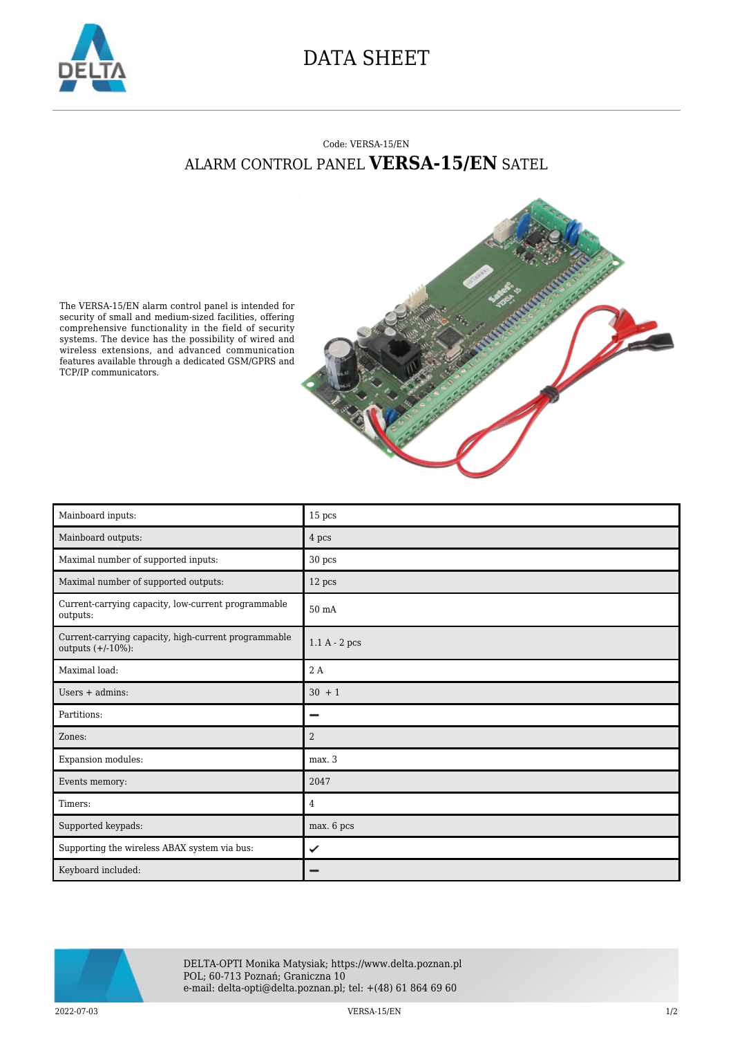

## DATA SHEET

## Code: VERSA-15/EN ALARM CONTROL PANEL **VERSA-15/EN** SATEL



The VERSA-15/EN alarm control panel is intended for security of small and medium-sized facilities, offering comprehensive functionality in the field of security systems. The device has the possibility of wired and wireless extensions, and advanced communication features available through a dedicated GSM/GPRS and TCP/IP communicators.

| Mainboard inputs:                                                            | 15 pcs                                |
|------------------------------------------------------------------------------|---------------------------------------|
| Mainboard outputs:                                                           | 4 pcs                                 |
| Maximal number of supported inputs:                                          | 30 pcs                                |
| Maximal number of supported outputs:                                         | 12 pcs                                |
| Current-carrying capacity, low-current programmable<br>outputs:              | $50 \text{ mA}$                       |
| Current-carrying capacity, high-current programmable<br>outputs $(+/-10%)$ : | $1.1\ \mathrm{A}$ - $2\ \mathrm{pcs}$ |
| Maximal load:                                                                | 2 A                                   |
| Users $+$ admins:                                                            | $30 + 1$                              |
| Partitions:                                                                  | −                                     |
| Zones:                                                                       | $\overline{2}$                        |
| Expansion modules:                                                           | max.3                                 |
| Events memory:                                                               | 2047                                  |
| Timers:                                                                      | 4                                     |
| Supported keypads:                                                           | max. 6 pcs                            |
| Supporting the wireless ABAX system via bus:                                 | ✓                                     |
| Keyboard included:                                                           |                                       |



DELTA-OPTI Monika Matysiak; https://www.delta.poznan.pl POL; 60-713 Poznań; Graniczna 10 e-mail: delta-opti@delta.poznan.pl; tel: +(48) 61 864 69 60